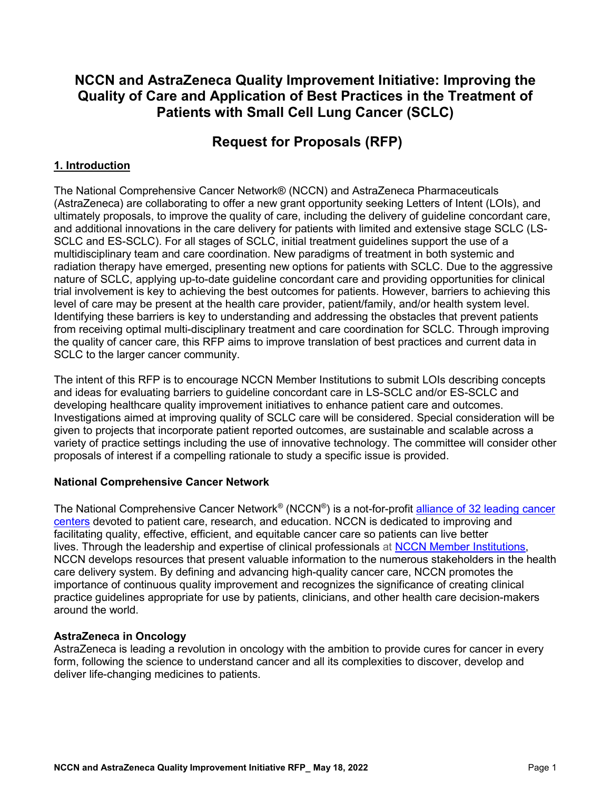# **NCCN and AstraZeneca Quality Improvement Initiative: Improving the Quality of Care and Application of Best Practices in the Treatment of Patients with Small Cell Lung Cancer (SCLC)**

# **Request for Proposals (RFP)**

### **1. Introduction**

The National Comprehensive Cancer Network® (NCCN) and AstraZeneca Pharmaceuticals (AstraZeneca) are collaborating to offer a new grant opportunity seeking Letters of Intent (LOIs), and ultimately proposals, to improve the quality of care, including the delivery of guideline concordant care, and additional innovations in the care delivery for patients with limited and extensive stage SCLC (LS-SCLC and ES-SCLC). For all stages of SCLC, initial treatment guidelines support the use of a multidisciplinary team and care coordination. New paradigms of treatment in both systemic and radiation therapy have emerged, presenting new options for patients with SCLC. Due to the aggressive nature of SCLC, applying up-to-date guideline concordant care and providing opportunities for clinical trial involvement is key to achieving the best outcomes for patients. However, barriers to achieving this level of care may be present at the health care provider, patient/family, and/or health system level. Identifying these barriers is key to understanding and addressing the obstacles that prevent patients from receiving optimal multi-disciplinary treatment and care coordination for SCLC. Through improving the quality of cancer care, this RFP aims to improve translation of best practices and current data in SCLC to the larger cancer community.

The intent of this RFP is to encourage NCCN Member Institutions to submit LOIs describing concepts and ideas for evaluating barriers to guideline concordant care in LS-SCLC and/or ES-SCLC and developing healthcare quality improvement initiatives to enhance patient care and outcomes. Investigations aimed at improving quality of SCLC care will be considered. Special consideration will be given to projects that incorporate patient reported outcomes, are sustainable and scalable across a variety of practice settings including the use of innovative technology. The committee will consider other proposals of interest if a compelling rationale to study a specific issue is provided.

### **National Comprehensive Cancer Network**

The National Comprehensive Cancer Network<sup>®</sup> (NCCN<sup>®</sup>) is a not-for-profit alliance of 32 leading cancer [centers](https://www.nccn.org/members/network.aspx) devoted to patient care, research, and education. NCCN is dedicated to improving and facilitating quality, effective, efficient, and equitable cancer care so patients can live better lives. Through the leadership and expertise of clinical professionals at [NCCN Member Institutions,](https://www.nccn.org/members/network.aspx) NCCN develops resources that present valuable information to the numerous stakeholders in the health care delivery system. By defining and advancing high-quality cancer care, NCCN promotes the importance of continuous quality improvement and recognizes the significance of creating clinical practice guidelines appropriate for use by patients, clinicians, and other health care decision-makers around the world.

### **AstraZeneca in Oncology**

AstraZeneca is leading a revolution in oncology with the ambition to provide cures for cancer in every form, following the science to understand cancer and all its complexities to discover, develop and deliver life-changing medicines to patients.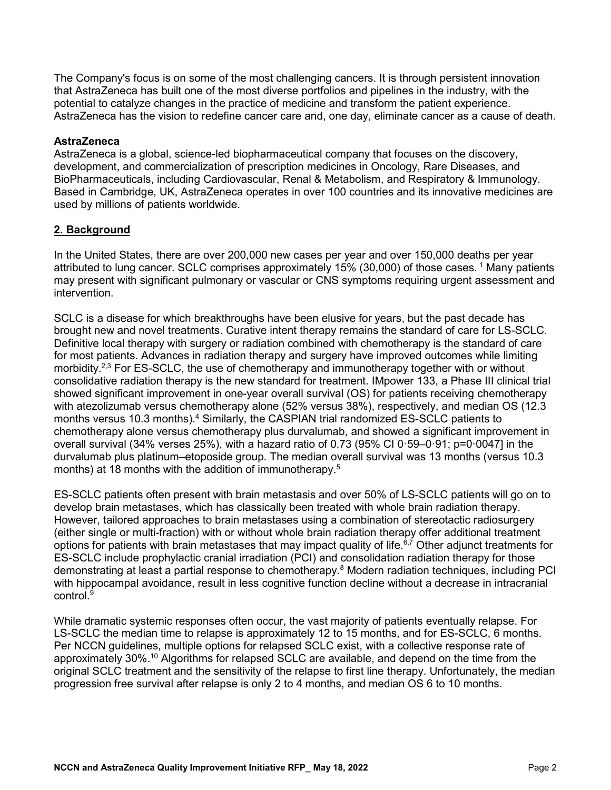The Company's focus is on some of the most challenging cancers. It is through persistent innovation that AstraZeneca has built one of the most diverse portfolios and pipelines in the industry, with the potential to catalyze changes in the practice of medicine and transform the patient experience. AstraZeneca has the vision to redefine cancer care and, one day, eliminate cancer as a cause of death.

### **AstraZeneca**

AstraZeneca is a global, science-led biopharmaceutical company that focuses on the discovery, development, and commercialization of prescription medicines in Oncology, Rare Diseases, and BioPharmaceuticals, including Cardiovascular, Renal & Metabolism, and Respiratory & Immunology. Based in Cambridge, UK, AstraZeneca operates in over 100 countries and its innovative medicines are used by millions of patients worldwide.

### **2. Background**

In the United States, there are over 200,000 new cases per year and over 150,000 deaths per year attributed to lung cancer. SCLC comprises approximately 15% (30,000) of those cases.<sup>1</sup> Many patients may present with significant pulmonary or vascular or CNS symptoms requiring urgent assessment and intervention.

SCLC is a disease for which breakthroughs have been elusive for years, but the past decade has brought new and novel treatments. Curative intent therapy remains the standard of care for LS-SCLC. Definitive local therapy with surgery or radiation combined with chemotherapy is the standard of care for most patients. Advances in radiation therapy and surgery have improved outcomes while limiting morbidity.<sup>2,3</sup> For ES-SCLC, the use of chemotherapy and immunotherapy together with or without consolidative radiation therapy is the new standard for treatment. IMpower 133, a Phase III clinical trial showed significant improvement in one-year overall survival (OS) for patients receiving chemotherapy with atezolizumab versus chemotherapy alone (52% versus 38%), respectively, and median OS (12.3 months versus 10.3 months).<sup>4</sup> Similarly, the CASPIAN trial randomized ES-SCLC patients to chemotherapy alone versus chemotherapy plus durvalumab, and showed a significant improvement in overall survival (34% verses 25%), with a hazard ratio of 0.73 (95% CI 0·59–0·91; p=0·0047] in the durvalumab plus platinum–etoposide group. The median overall survival was 13 months (versus 10.3 months) at 18 months with the addition of immunotherapy. $^5$ 

ES-SCLC patients often present with brain metastasis and over 50% of LS-SCLC patients will go on to develop brain metastases, which has classically been treated with whole brain radiation therapy. However, tailored approaches to brain metastases using a combination of stereotactic radiosurgery (either single or multi-fraction) with or without whole brain radiation therapy offer additional treatment options for patients with brain metastases that may impact quality of life.<sup>6,7</sup> Other adjunct treatments for ES-SCLC include prophylactic cranial irradiation (PCI) and consolidation radiation therapy for those demonstrating at least a partial response to chemotherapy.<sup>8</sup> Modern radiation techniques, including PCI with hippocampal avoidance, result in less cognitive function decline without a decrease in intracranial  $control<sup>9</sup>$ 

While dramatic systemic responses often occur, the vast majority of patients eventually relapse. For LS-SCLC the median time to relapse is approximately 12 to 15 months, and for ES-SCLC, 6 months. Per NCCN guidelines, multiple options for relapsed SCLC exist, with a collective response rate of approximately 30%.10 Algorithms for relapsed SCLC are available, and depend on the time from the original SCLC treatment and the sensitivity of the relapse to first line therapy. Unfortunately, the median progression free survival after relapse is only 2 to 4 months, and median OS 6 to 10 months.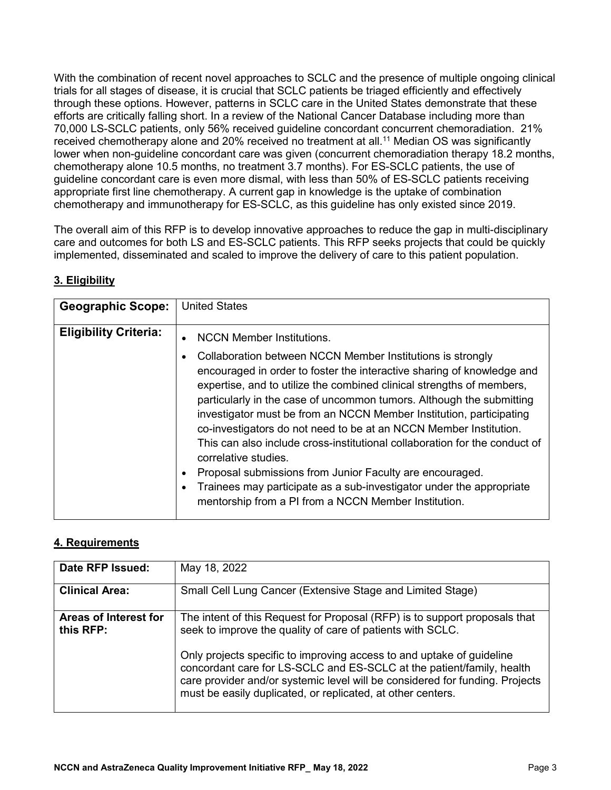With the combination of recent novel approaches to SCLC and the presence of multiple ongoing clinical trials for all stages of disease, it is crucial that SCLC patients be triaged efficiently and effectively through these options. However, patterns in SCLC care in the United States demonstrate that these efforts are critically falling short. In a review of the National Cancer Database including more than 70,000 LS-SCLC patients, only 56% received guideline concordant concurrent chemoradiation. 21% received chemotherapy alone and 20% received no treatment at all.<sup>11</sup> Median OS was significantly lower when non-guideline concordant care was given (concurrent chemoradiation therapy 18.2 months, chemotherapy alone 10.5 months, no treatment 3.7 months). For ES-SCLC patients, the use of guideline concordant care is even more dismal, with less than 50% of ES-SCLC patients receiving appropriate first line chemotherapy. A current gap in knowledge is the uptake of combination chemotherapy and immunotherapy for ES-SCLC, as this guideline has only existed since 2019.

The overall aim of this RFP is to develop innovative approaches to reduce the gap in multi-disciplinary care and outcomes for both LS and ES-SCLC patients. This RFP seeks projects that could be quickly implemented, disseminated and scaled to improve the delivery of care to this patient population.

# **3. Eligibility**

| <b>Geographic Scope:</b>     | <b>United States</b>                                                                                                                                                                                                                                                                                                                                                                                                                                                                                                                                                                                                                                                   |
|------------------------------|------------------------------------------------------------------------------------------------------------------------------------------------------------------------------------------------------------------------------------------------------------------------------------------------------------------------------------------------------------------------------------------------------------------------------------------------------------------------------------------------------------------------------------------------------------------------------------------------------------------------------------------------------------------------|
| <b>Eligibility Criteria:</b> | <b>NCCN Member Institutions.</b><br>$\bullet$<br>Collaboration between NCCN Member Institutions is strongly<br>٠<br>encouraged in order to foster the interactive sharing of knowledge and<br>expertise, and to utilize the combined clinical strengths of members,<br>particularly in the case of uncommon tumors. Although the submitting<br>investigator must be from an NCCN Member Institution, participating<br>co-investigators do not need to be at an NCCN Member Institution.<br>This can also include cross-institutional collaboration for the conduct of<br>correlative studies.<br>Proposal submissions from Junior Faculty are encouraged.<br>$\bullet$ |
|                              | Trainees may participate as a sub-investigator under the appropriate<br>$\bullet$<br>mentorship from a PI from a NCCN Member Institution.                                                                                                                                                                                                                                                                                                                                                                                                                                                                                                                              |

# **4. Requirements**

| Date RFP Issued:                   | May 18, 2022                                                                                                                                                                                                                                                                               |
|------------------------------------|--------------------------------------------------------------------------------------------------------------------------------------------------------------------------------------------------------------------------------------------------------------------------------------------|
| <b>Clinical Area:</b>              | Small Cell Lung Cancer (Extensive Stage and Limited Stage)                                                                                                                                                                                                                                 |
| Areas of Interest for<br>this RFP: | The intent of this Request for Proposal (RFP) is to support proposals that<br>seek to improve the quality of care of patients with SCLC.<br>Only projects specific to improving access to and uptake of guideline<br>concordant care for LS-SCLC and ES-SCLC at the patient/family, health |
|                                    | care provider and/or systemic level will be considered for funding. Projects<br>must be easily duplicated, or replicated, at other centers.                                                                                                                                                |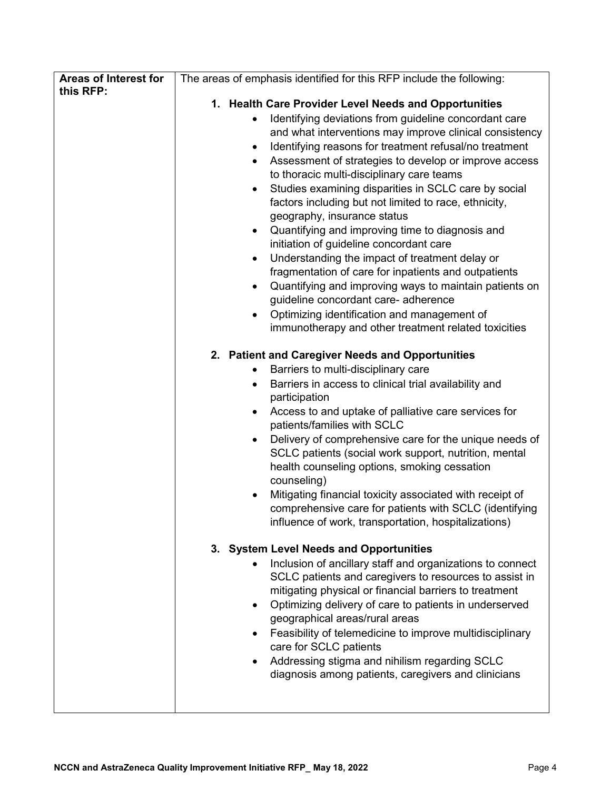| Areas of Interest for | The areas of emphasis identified for this RFP include the following:                                                                                                                                                                                                                                                                                                                                                                                                                                                                                                                                                                                                                                                                                                                                                                                                                                                                          |
|-----------------------|-----------------------------------------------------------------------------------------------------------------------------------------------------------------------------------------------------------------------------------------------------------------------------------------------------------------------------------------------------------------------------------------------------------------------------------------------------------------------------------------------------------------------------------------------------------------------------------------------------------------------------------------------------------------------------------------------------------------------------------------------------------------------------------------------------------------------------------------------------------------------------------------------------------------------------------------------|
| this RFP:             |                                                                                                                                                                                                                                                                                                                                                                                                                                                                                                                                                                                                                                                                                                                                                                                                                                                                                                                                               |
|                       | 1. Health Care Provider Level Needs and Opportunities<br>Identifying deviations from guideline concordant care<br>and what interventions may improve clinical consistency<br>Identifying reasons for treatment refusal/no treatment<br>$\bullet$<br>Assessment of strategies to develop or improve access<br>$\bullet$<br>to thoracic multi-disciplinary care teams<br>Studies examining disparities in SCLC care by social<br>$\bullet$<br>factors including but not limited to race, ethnicity,<br>geography, insurance status<br>Quantifying and improving time to diagnosis and<br>$\bullet$<br>initiation of guideline concordant care<br>Understanding the impact of treatment delay or<br>$\bullet$<br>fragmentation of care for inpatients and outpatients<br>Quantifying and improving ways to maintain patients on<br>$\bullet$<br>guideline concordant care- adherence<br>Optimizing identification and management of<br>$\bullet$ |
|                       | immunotherapy and other treatment related toxicities                                                                                                                                                                                                                                                                                                                                                                                                                                                                                                                                                                                                                                                                                                                                                                                                                                                                                          |
|                       | 2. Patient and Caregiver Needs and Opportunities<br>Barriers to multi-disciplinary care<br>٠<br>Barriers in access to clinical trial availability and<br>$\bullet$<br>participation<br>Access to and uptake of palliative care services for<br>٠<br>patients/families with SCLC<br>Delivery of comprehensive care for the unique needs of<br>$\bullet$<br>SCLC patients (social work support, nutrition, mental<br>health counseling options, smoking cessation<br>counseling)<br>Mitigating financial toxicity associated with receipt of<br>comprehensive care for patients with SCLC (identifying<br>influence of work, transportation, hospitalizations)                                                                                                                                                                                                                                                                                  |
|                       | 3. System Level Needs and Opportunities<br>Inclusion of ancillary staff and organizations to connect<br>SCLC patients and caregivers to resources to assist in<br>mitigating physical or financial barriers to treatment<br>Optimizing delivery of care to patients in underserved<br>$\bullet$<br>geographical areas/rural areas<br>Feasibility of telemedicine to improve multidisciplinary<br>care for SCLC patients<br>Addressing stigma and nihilism regarding SCLC<br>diagnosis among patients, caregivers and clinicians                                                                                                                                                                                                                                                                                                                                                                                                               |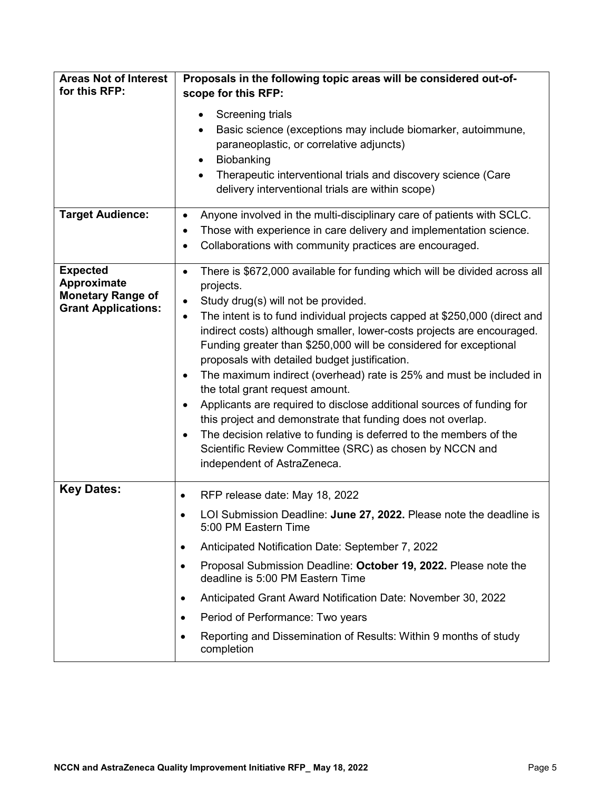| <b>Areas Not of Interest</b><br>for this RFP:                                            | Proposals in the following topic areas will be considered out-of-<br>scope for this RFP:                                                                                                                                                                                                                                                                                                                                                                                                                                                                                                                                                                                                                                                                                                                                                       |
|------------------------------------------------------------------------------------------|------------------------------------------------------------------------------------------------------------------------------------------------------------------------------------------------------------------------------------------------------------------------------------------------------------------------------------------------------------------------------------------------------------------------------------------------------------------------------------------------------------------------------------------------------------------------------------------------------------------------------------------------------------------------------------------------------------------------------------------------------------------------------------------------------------------------------------------------|
|                                                                                          | Screening trials<br>$\bullet$<br>Basic science (exceptions may include biomarker, autoimmune,<br>paraneoplastic, or correlative adjuncts)<br>Biobanking<br>Therapeutic interventional trials and discovery science (Care<br>$\bullet$<br>delivery interventional trials are within scope)                                                                                                                                                                                                                                                                                                                                                                                                                                                                                                                                                      |
| <b>Target Audience:</b>                                                                  | Anyone involved in the multi-disciplinary care of patients with SCLC.<br>٠<br>Those with experience in care delivery and implementation science.<br>$\bullet$<br>Collaborations with community practices are encouraged.                                                                                                                                                                                                                                                                                                                                                                                                                                                                                                                                                                                                                       |
| <b>Expected</b><br>Approximate<br><b>Monetary Range of</b><br><b>Grant Applications:</b> | There is \$672,000 available for funding which will be divided across all<br>$\bullet$<br>projects.<br>Study drug(s) will not be provided.<br>٠<br>The intent is to fund individual projects capped at \$250,000 (direct and<br>indirect costs) although smaller, lower-costs projects are encouraged.<br>Funding greater than \$250,000 will be considered for exceptional<br>proposals with detailed budget justification.<br>The maximum indirect (overhead) rate is 25% and must be included in<br>the total grant request amount.<br>Applicants are required to disclose additional sources of funding for<br>this project and demonstrate that funding does not overlap.<br>The decision relative to funding is deferred to the members of the<br>Scientific Review Committee (SRC) as chosen by NCCN and<br>independent of AstraZeneca. |
| <b>Key Dates:</b>                                                                        | RFP release date: May 18, 2022<br>٠<br>LOI Submission Deadline: June 27, 2022. Please note the deadline is<br>5:00 PM Eastern Time<br>Anticipated Notification Date: September 7, 2022                                                                                                                                                                                                                                                                                                                                                                                                                                                                                                                                                                                                                                                         |
|                                                                                          | Proposal Submission Deadline: October 19, 2022. Please note the<br>deadline is 5:00 PM Eastern Time                                                                                                                                                                                                                                                                                                                                                                                                                                                                                                                                                                                                                                                                                                                                            |
|                                                                                          | Anticipated Grant Award Notification Date: November 30, 2022<br>٠                                                                                                                                                                                                                                                                                                                                                                                                                                                                                                                                                                                                                                                                                                                                                                              |
|                                                                                          | Period of Performance: Two years<br>٠                                                                                                                                                                                                                                                                                                                                                                                                                                                                                                                                                                                                                                                                                                                                                                                                          |
|                                                                                          | Reporting and Dissemination of Results: Within 9 months of study<br>completion                                                                                                                                                                                                                                                                                                                                                                                                                                                                                                                                                                                                                                                                                                                                                                 |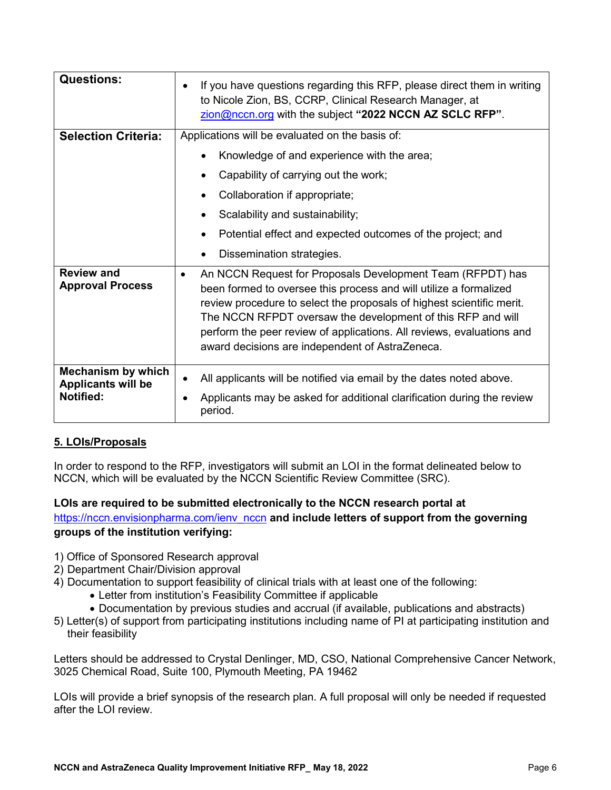| <b>Questions:</b>                                                   | If you have questions regarding this RFP, please direct them in writing<br>to Nicole Zion, BS, CCRP, Clinical Research Manager, at<br>zion@nccn.org with the subject "2022 NCCN AZ SCLC RFP".                                                                                                                                                                                                                    |
|---------------------------------------------------------------------|------------------------------------------------------------------------------------------------------------------------------------------------------------------------------------------------------------------------------------------------------------------------------------------------------------------------------------------------------------------------------------------------------------------|
| <b>Selection Criteria:</b>                                          | Applications will be evaluated on the basis of:                                                                                                                                                                                                                                                                                                                                                                  |
|                                                                     | Knowledge of and experience with the area;                                                                                                                                                                                                                                                                                                                                                                       |
|                                                                     | Capability of carrying out the work;                                                                                                                                                                                                                                                                                                                                                                             |
|                                                                     | Collaboration if appropriate;                                                                                                                                                                                                                                                                                                                                                                                    |
|                                                                     | Scalability and sustainability;                                                                                                                                                                                                                                                                                                                                                                                  |
|                                                                     | Potential effect and expected outcomes of the project; and                                                                                                                                                                                                                                                                                                                                                       |
|                                                                     | Dissemination strategies.                                                                                                                                                                                                                                                                                                                                                                                        |
| <b>Review and</b><br><b>Approval Process</b>                        | An NCCN Request for Proposals Development Team (RFPDT) has<br>$\bullet$<br>been formed to oversee this process and will utilize a formalized<br>review procedure to select the proposals of highest scientific merit.<br>The NCCN RFPDT oversaw the development of this RFP and will<br>perform the peer review of applications. All reviews, evaluations and<br>award decisions are independent of AstraZeneca. |
| Mechanism by which<br><b>Applicants will be</b><br><b>Notified:</b> | All applicants will be notified via email by the dates noted above.<br>Applicants may be asked for additional clarification during the review                                                                                                                                                                                                                                                                    |
|                                                                     | period.                                                                                                                                                                                                                                                                                                                                                                                                          |

# **5. LOIs/Proposals**

In order to respond to the RFP, investigators will submit an LOI in the format delineated below to NCCN, which will be evaluated by the NCCN Scientific Review Committee (SRC).

**LOIs are required to be submitted electronically to the NCCN research portal at**  [https://nccn.envisionpharma.com/ienv\\_nccn](https://nccn.envisionpharma.com/ienv_nccn) **and include letters of support from the governing groups of the institution verifying:**

- 1) Office of Sponsored Research approval
- 2) Department Chair/Division approval
- 4) Documentation to support feasibility of clinical trials with at least one of the following:
	- Letter from institution's Feasibility Committee if applicable
	- Documentation by previous studies and accrual (if available, publications and abstracts)
- 5) Letter(s) of support from participating institutions including name of PI at participating institution and their feasibility

Letters should be addressed to Crystal Denlinger, MD, CSO, National Comprehensive Cancer Network, 3025 Chemical Road, Suite 100, Plymouth Meeting, PA 19462

LOIs will provide a brief synopsis of the research plan. A full proposal will only be needed if requested after the LOI review.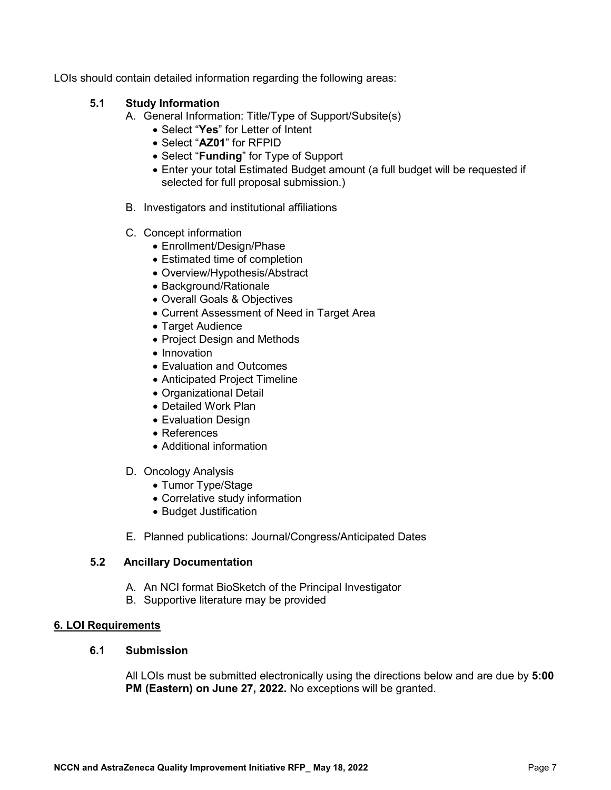LOIs should contain detailed information regarding the following areas:

### **5.1 Study Information**

- A. General Information: Title/Type of Support/Subsite(s)
	- Select "**Yes**" for Letter of Intent
	- Select "**AZ01**" for RFPID
	- Select "**Funding**" for Type of Support
	- Enter your total Estimated Budget amount (a full budget will be requested if selected for full proposal submission.)
- B. Investigators and institutional affiliations
- C. Concept information
	- Enrollment/Design/Phase
	- Estimated time of completion
	- Overview/Hypothesis/Abstract
	- Background/Rationale
	- Overall Goals & Objectives
	- Current Assessment of Need in Target Area
	- Target Audience
	- Project Design and Methods
	- Innovation
	- Evaluation and Outcomes
	- Anticipated Project Timeline
	- Organizational Detail
	- Detailed Work Plan
	- Evaluation Design
	- References
	- Additional information
- D. Oncology Analysis
	- Tumor Type/Stage
	- Correlative study information
	- Budget Justification
- E. Planned publications: Journal/Congress/Anticipated Dates

#### **5.2 Ancillary Documentation**

- A. An NCI format BioSketch of the Principal Investigator
- B. Supportive literature may be provided

### **6. LOI Requirements**

#### **6.1 Submission**

All LOIs must be submitted electronically using the directions below and are due by **5:00 PM (Eastern) on June 27, 2022.** No exceptions will be granted.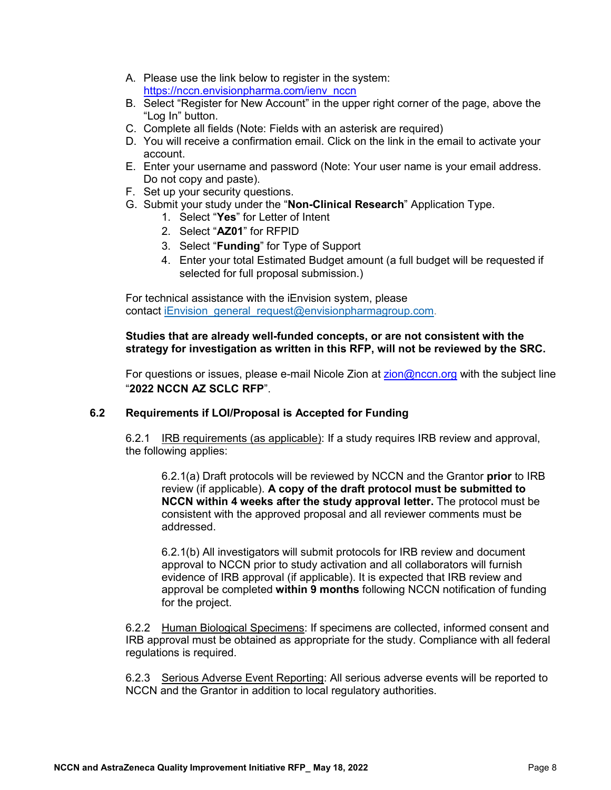- A. Please use the link below to register in the system: [https://nccn.envisionpharma.com/ienv\\_nccn](https://nccn.envisionpharma.com/ienv_nccn)
- B. Select "Register for New Account" in the upper right corner of the page, above the "Log In" button.
- C. Complete all fields (Note: Fields with an asterisk are required)
- D. You will receive a confirmation email. Click on the link in the email to activate your account.
- E. Enter your username and password (Note: Your user name is your email address. Do not copy and paste).
- F. Set up your security questions.
- G. Submit your study under the "**Non-Clinical Research**" Application Type.
	- 1. Select "**Yes**" for Letter of Intent
	- 2. Select "**AZ01**" for RFPID
	- 3. Select "**Funding**" for Type of Support
	- 4. Enter your total Estimated Budget amount (a full budget will be requested if selected for full proposal submission.)

For technical assistance with the iEnvision system, please contact [iEnvision\\_general\\_request@envisionpharmagroup.com.](mailto:iEnvision_general_request@envisionpharmagroup.com)

### **Studies that are already well-funded concepts, or are not consistent with the strategy for investigation as written in this RFP, will not be reviewed by the SRC.**

For questions or issues, please e-mail Nicole Zion at [zion@nccn.org](mailto:zion@nccn.org) with the subject line "**2022 NCCN AZ SCLC RFP**".

#### **6.2 Requirements if LOI/Proposal is Accepted for Funding**

6.2.1 IRB requirements (as applicable): If a study requires IRB review and approval, the following applies:

6.2.1(a) Draft protocols will be reviewed by NCCN and the Grantor **prior** to IRB review (if applicable). **A copy of the draft protocol must be submitted to NCCN within 4 weeks after the study approval letter.** The protocol must be consistent with the approved proposal and all reviewer comments must be addressed.

6.2.1(b) All investigators will submit protocols for IRB review and document approval to NCCN prior to study activation and all collaborators will furnish evidence of IRB approval (if applicable). It is expected that IRB review and approval be completed **within 9 months** following NCCN notification of funding for the project.

6.2.2 Human Biological Specimens: If specimens are collected, informed consent and IRB approval must be obtained as appropriate for the study. Compliance with all federal regulations is required.

6.2.3 Serious Adverse Event Reporting: All serious adverse events will be reported to NCCN and the Grantor in addition to local regulatory authorities.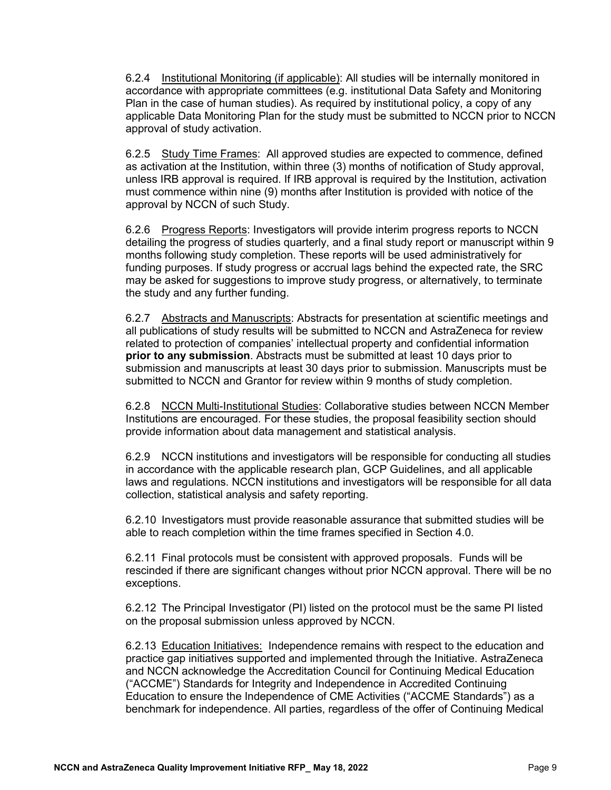6.2.4 Institutional Monitoring (if applicable): All studies will be internally monitored in accordance with appropriate committees (e.g. institutional Data Safety and Monitoring Plan in the case of human studies). As required by institutional policy, a copy of any applicable Data Monitoring Plan for the study must be submitted to NCCN prior to NCCN approval of study activation.

6.2.5 Study Time Frames: All approved studies are expected to commence, defined as activation at the Institution, within three (3) months of notification of Study approval, unless IRB approval is required. If IRB approval is required by the Institution, activation must commence within nine (9) months after Institution is provided with notice of the approval by NCCN of such Study.

6.2.6 Progress Reports: Investigators will provide interim progress reports to NCCN detailing the progress of studies quarterly, and a final study report or manuscript within 9 months following study completion. These reports will be used administratively for funding purposes. If study progress or accrual lags behind the expected rate, the SRC may be asked for suggestions to improve study progress, or alternatively, to terminate the study and any further funding.

6.2.7 Abstracts and Manuscripts: Abstracts for presentation at scientific meetings and all publications of study results will be submitted to NCCN and AstraZeneca for review related to protection of companies' intellectual property and confidential information **prior to any submission**. Abstracts must be submitted at least 10 days prior to submission and manuscripts at least 30 days prior to submission. Manuscripts must be submitted to NCCN and Grantor for review within 9 months of study completion.

6.2.8 NCCN Multi-Institutional Studies: Collaborative studies between NCCN Member Institutions are encouraged. For these studies, the proposal feasibility section should provide information about data management and statistical analysis.

6.2.9 NCCN institutions and investigators will be responsible for conducting all studies in accordance with the applicable research plan, GCP Guidelines, and all applicable laws and regulations. NCCN institutions and investigators will be responsible for all data collection, statistical analysis and safety reporting.

6.2.10 Investigators must provide reasonable assurance that submitted studies will be able to reach completion within the time frames specified in Section 4.0.

6.2.11 Final protocols must be consistent with approved proposals. Funds will be rescinded if there are significant changes without prior NCCN approval. There will be no exceptions.

6.2.12 The Principal Investigator (PI) listed on the protocol must be the same PI listed on the proposal submission unless approved by NCCN.

6.2.13 Education Initiatives: Independence remains with respect to the education and practice gap initiatives supported and implemented through the Initiative. AstraZeneca and NCCN acknowledge the Accreditation Council for Continuing Medical Education ("ACCME") Standards for Integrity and Independence in Accredited Continuing Education to ensure the Independence of CME Activities ("ACCME Standards") as a benchmark for independence. All parties, regardless of the offer of Continuing Medical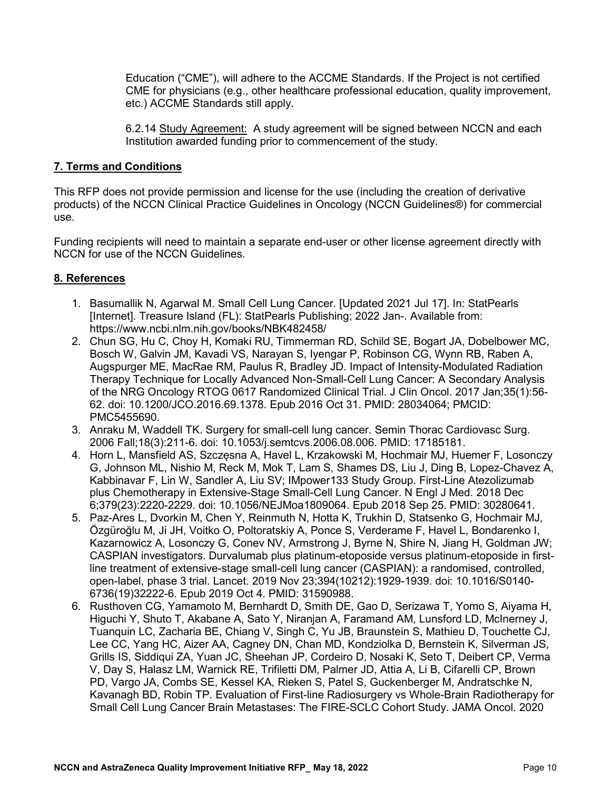Education ("CME"), will adhere to the ACCME Standards. If the Project is not certified CME for physicians (e.g., other healthcare professional education, quality improvement, etc.) ACCME Standards still apply.

6.2.14 Study Agreement: A study agreement will be signed between NCCN and each Institution awarded funding prior to commencement of the study.

### **7. Terms and Conditions**

This RFP does not provide permission and license for the use (including the creation of derivative products) of the NCCN Clinical Practice Guidelines in Oncology (NCCN Guidelines®) for commercial use.

Funding recipients will need to maintain a separate end-user or other license agreement directly with NCCN for use of the NCCN Guidelines.

### **8. References**

- 1. Basumallik N, Agarwal M. Small Cell Lung Cancer. [Updated 2021 Jul 17]. In: StatPearls [Internet]. Treasure Island (FL): StatPearls Publishing; 2022 Jan-. Available from: https://www.ncbi.nlm.nih.gov/books/NBK482458/
- 2. Chun SG, Hu C, Choy H, Komaki RU, Timmerman RD, Schild SE, Bogart JA, Dobelbower MC, Bosch W, Galvin JM, Kavadi VS, Narayan S, Iyengar P, Robinson CG, Wynn RB, Raben A, Augspurger ME, MacRae RM, Paulus R, Bradley JD. Impact of Intensity-Modulated Radiation Therapy Technique for Locally Advanced Non-Small-Cell Lung Cancer: A Secondary Analysis of the NRG Oncology RTOG 0617 Randomized Clinical Trial. J Clin Oncol. 2017 Jan;35(1):56- 62. doi: 10.1200/JCO.2016.69.1378. Epub 2016 Oct 31. PMID: 28034064; PMCID: PMC5455690.
- 3. Anraku M, Waddell TK. Surgery for small-cell lung cancer. Semin Thorac Cardiovasc Surg. 2006 Fall;18(3):211-6. doi: 10.1053/j.semtcvs.2006.08.006. PMID: 17185181.
- 4. Horn L, Mansfield AS, Szczęsna A, Havel L, Krzakowski M, Hochmair MJ, Huemer F, Losonczy G, Johnson ML, Nishio M, Reck M, Mok T, Lam S, Shames DS, Liu J, Ding B, Lopez-Chavez A, Kabbinavar F, Lin W, Sandler A, Liu SV; IMpower133 Study Group. First-Line Atezolizumab plus Chemotherapy in Extensive-Stage Small-Cell Lung Cancer. N Engl J Med. 2018 Dec 6;379(23):2220-2229. doi: 10.1056/NEJMoa1809064. Epub 2018 Sep 25. PMID: 30280641.
- 5. Paz-Ares L, Dvorkin M, Chen Y, Reinmuth N, Hotta K, Trukhin D, Statsenko G, Hochmair MJ, Özgüroğlu M, Ji JH, Voitko O, Poltoratskiy A, Ponce S, Verderame F, Havel L, Bondarenko I, Kazarnowicz A, Losonczy G, Conev NV, Armstrong J, Byrne N, Shire N, Jiang H, Goldman JW; CASPIAN investigators. Durvalumab plus platinum-etoposide versus platinum-etoposide in firstline treatment of extensive-stage small-cell lung cancer (CASPIAN): a randomised, controlled, open-label, phase 3 trial. Lancet. 2019 Nov 23;394(10212):1929-1939. doi: 10.1016/S0140- 6736(19)32222-6. Epub 2019 Oct 4. PMID: 31590988.
- 6. Rusthoven CG, Yamamoto M, Bernhardt D, Smith DE, Gao D, Serizawa T, Yomo S, Aiyama H, Higuchi Y, Shuto T, Akabane A, Sato Y, Niranjan A, Faramand AM, Lunsford LD, McInerney J, Tuanquin LC, Zacharia BE, Chiang V, Singh C, Yu JB, Braunstein S, Mathieu D, Touchette CJ, Lee CC, Yang HC, Aizer AA, Cagney DN, Chan MD, Kondziolka D, Bernstein K, Silverman JS, Grills IS, Siddiqui ZA, Yuan JC, Sheehan JP, Cordeiro D, Nosaki K, Seto T, Deibert CP, Verma V, Day S, Halasz LM, Warnick RE, Trifiletti DM, Palmer JD, Attia A, Li B, Cifarelli CP, Brown PD, Vargo JA, Combs SE, Kessel KA, Rieken S, Patel S, Guckenberger M, Andratschke N, Kavanagh BD, Robin TP. Evaluation of First-line Radiosurgery vs Whole-Brain Radiotherapy for Small Cell Lung Cancer Brain Metastases: The FIRE-SCLC Cohort Study. JAMA Oncol. 2020